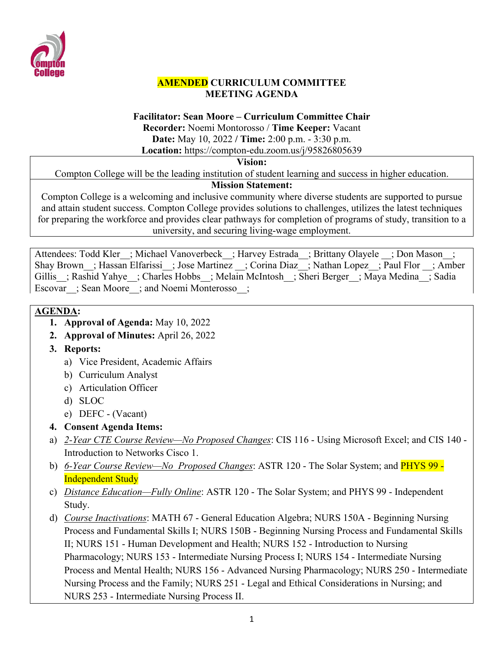

### **AMENDED CURRICULUM COMMITTEE MEETING AGENDA**

#### **Facilitator: Sean Moore – Curriculum Committee Chair**

**Recorder:** Noemi Montorosso / **Time Keeper:** Vacant

**Date:** May 10, 2022 **/ Time:** 2:00 p.m. - 3:30 p.m.

**Location:** https://compton-edu.zoom.us/j/95826805639

### **Vision:**

Compton College will be the leading institution of student learning and success in higher education.

## **Mission Statement:**

Compton College is a welcoming and inclusive community where diverse students are supported to pursue and attain student success. Compton College provides solutions to challenges, utilizes the latest techniques for preparing the workforce and provides clear pathways for completion of programs of study, transition to a university, and securing living-wage employment.

Attendees: Todd Kler ; Michael Vanoverbeck ; Harvey Estrada ; Brittany Olayele ; Don Mason ; Shay Brown ; Hassan Elfarissi ; Jose Martinez ; Corina Diaz ; Nathan Lopez ; Paul Flor ; Amber Gillis ; Rashid Yahye ; Charles Hobbs ; Melain McIntosh ; Sheri Berger ; Maya Medina ; Sadia Escovar ; Sean Moore ; and Noemi Monterosso ;

# **AGENDA:**

- **1. Approval of Agenda:** May 10, 2022
- **2. Approval of Minutes:** April 26, 2022
- **3. Reports:** 
	- a) Vice President, Academic Affairs
	- b) Curriculum Analyst
	- c) Articulation Officer
	- d) SLOC
	- e) DEFC (Vacant)
- **4. Consent Agenda Items:**
- a) *2-Year CTE Course Review—No Proposed Changes*: CIS 116 Using Microsoft Excel; and CIS 140 Introduction to Networks Cisco 1.
- b) *6-Year Course Review—No Proposed Changes*: ASTR 120 The Solar System; and PHYS 99 Independent Study
- c) *Distance Education—Fully Online*: ASTR 120 The Solar System; and PHYS 99 Independent Study.
- d) *Course Inactivations*: MATH 67 General Education Algebra; NURS 150A Beginning Nursing Process and Fundamental Skills I; NURS 150B - Beginning Nursing Process and Fundamental Skills II; NURS 151 - Human Development and Health; NURS 152 - Introduction to Nursing Pharmacology; NURS 153 - Intermediate Nursing Process I; NURS 154 - Intermediate Nursing Process and Mental Health; NURS 156 - Advanced Nursing Pharmacology; NURS 250 - Intermediate Nursing Process and the Family; NURS 251 - Legal and Ethical Considerations in Nursing; and NURS 253 - Intermediate Nursing Process II.